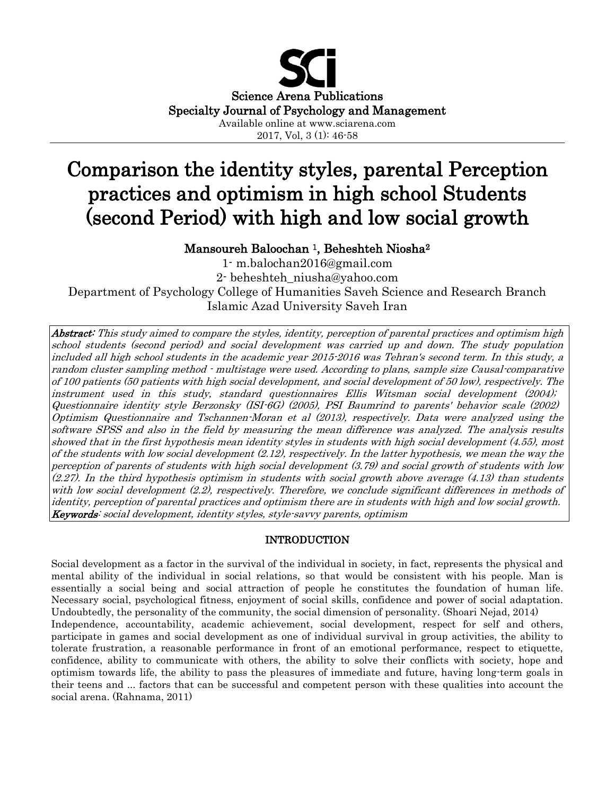

2017, Vol, 3 (1): 46-58

# Comparison the identity styles, parental Perception practices and optimism in high school Students (second Period) with high and low social growth

# Mansoureh Baloochan 1, Beheshteh Niosha<sup>2</sup>

1- [m.balochan2016@gmail.com](mailto:m.balochan2016@gmail.com) 2- [beheshteh\\_niusha@yahoo.com](mailto:beheshteh_niusha@yahoo.com) Department of Psychology College of Humanities Saveh Science and Research Branch Islamic Azad University Saveh Iran

Abstract: This study aimed to compare the styles, identity, perception of parental practices and optimism high school students (second period) and social development was carried up and down. The study population included all high school students in the academic year 2015-2016 was Tehran's second term. In this study, a random cluster sampling method - multistage were used. According to plans, sample size Causal-comparative of 100 patients (50 patients with high social development, and social development of 50 low), respectively. The instrument used in this study, standard questionnaires Ellis Witsman social development (2004); Questionnaire identity style Berzonsky (ISI-6G) (2005), PSI Baumrind to parents' behavior scale (2002) Optimism Questionnaire and Tschannen-Moran et al (2013), respectively. Data were analyzed using the software SPSS and also in the field by measuring the mean difference was analyzed. The analysis results showed that in the first hypothesis mean identity styles in students with high social development (4.55), most of the students with low social development (2.12), respectively. In the latter hypothesis, we mean the way the perception of parents of students with high social development (3.79) and social growth of students with low (2.27). In the third hypothesis optimism in students with social growth above average (4.13) than students with low social development (2.2), respectively. Therefore, we conclude significant differences in methods of identity, perception of parental practices and optimism there are in students with high and low social growth. Keywords: social development, identity styles, style-savvy parents, optimism

## INTRODUCTION

Social development as a factor in the survival of the individual in society, in fact, represents the physical and mental ability of the individual in social relations, so that would be consistent with his people. Man is essentially a social being and social attraction of people he constitutes the foundation of human life. Necessary social, psychological fitness, enjoyment of social skills, confidence and power of social adaptation. Undoubtedly, the personality of the community, the social dimension of personality. (Shoari Nejad, 2014) Independence, accountability, academic achievement, social development, respect for self and others, participate in games and social development as one of individual survival in group activities, the ability to tolerate frustration, a reasonable performance in front of an emotional performance, respect to etiquette, confidence, ability to communicate with others, the ability to solve their conflicts with society, hope and optimism towards life, the ability to pass the pleasures of immediate and future, having long-term goals in their teens and ... factors that can be successful and competent person with these qualities into account the social arena. (Rahnama, 2011)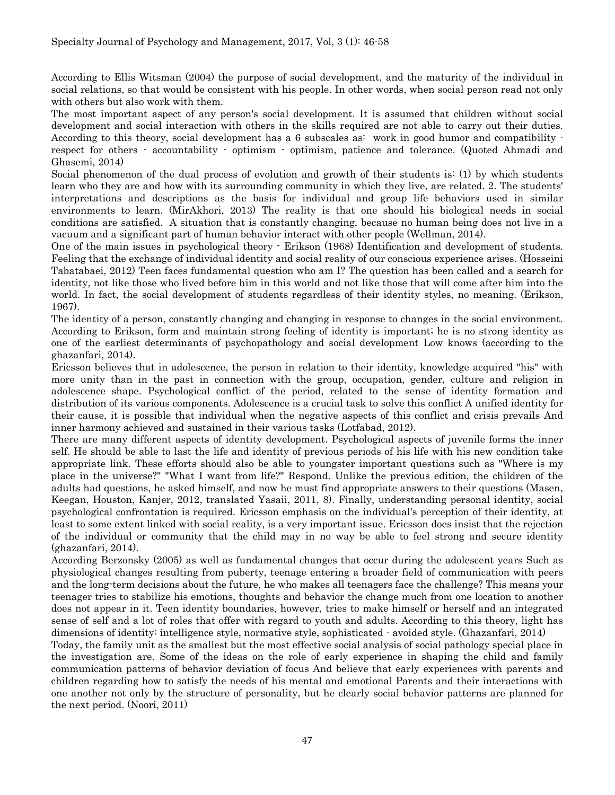According to Ellis Witsman (2004) the purpose of social development, and the maturity of the individual in social relations, so that would be consistent with his people. In other words, when social person read not only with others but also work with them.

The most important aspect of any person's social development. It is assumed that children without social development and social interaction with others in the skills required are not able to carry out their duties. According to this theory, social development has a 6 subscales as: work in good humor and compatibility respect for others - accountability - optimism - optimism, patience and tolerance. (Quoted Ahmadi and Ghasemi, 2014)

Social phenomenon of the dual process of evolution and growth of their students is: (1) by which students learn who they are and how with its surrounding community in which they live, are related. 2. The students' interpretations and descriptions as the basis for individual and group life behaviors used in similar environments to learn. (MirAkhori, 2013) The reality is that one should his biological needs in social conditions are satisfied. A situation that is constantly changing, because no human being does not live in a vacuum and a significant part of human behavior interact with other people (Wellman, 2014).

One of the main issues in psychological theory - Erikson (1968) Identification and development of students. Feeling that the exchange of individual identity and social reality of our conscious experience arises. (Hosseini Tabatabaei, 2012) Teen faces fundamental question who am I? The question has been called and a search for identity, not like those who lived before him in this world and not like those that will come after him into the world. In fact, the social development of students regardless of their identity styles, no meaning. (Erikson, 1967).

The identity of a person, constantly changing and changing in response to changes in the social environment. According to Erikson, form and maintain strong feeling of identity is important; he is no strong identity as one of the earliest determinants of psychopathology and social development Low knows (according to the ghazanfari, 2014).

Ericsson believes that in adolescence, the person in relation to their identity, knowledge acquired "his" with more unity than in the past in connection with the group, occupation, gender, culture and religion in adolescence shape. Psychological conflict of the period, related to the sense of identity formation and distribution of its various components. Adolescence is a crucial task to solve this conflict A unified identity for their cause, it is possible that individual when the negative aspects of this conflict and crisis prevails And inner harmony achieved and sustained in their various tasks (Lotfabad, 2012).

There are many different aspects of identity development. Psychological aspects of juvenile forms the inner self. He should be able to last the life and identity of previous periods of his life with his new condition take appropriate link. These efforts should also be able to youngster important questions such as "Where is my place in the universe?" "What I want from life?" Respond. Unlike the previous edition, the children of the adults had questions, he asked himself, and now he must find appropriate answers to their questions (Masen, Keegan, Houston, Kanjer, 2012, translated Yasaii, 2011, 8). Finally, understanding personal identity, social psychological confrontation is required. Ericsson emphasis on the individual's perception of their identity, at least to some extent linked with social reality, is a very important issue. Ericsson does insist that the rejection of the individual or community that the child may in no way be able to feel strong and secure identity (ghazanfari, 2014).

According Berzonsky (2005) as well as fundamental changes that occur during the adolescent years Such as physiological changes resulting from puberty, teenage entering a broader field of communication with peers and the long-term decisions about the future, he who makes all teenagers face the challenge? This means your teenager tries to stabilize his emotions, thoughts and behavior the change much from one location to another does not appear in it. Teen identity boundaries, however, tries to make himself or herself and an integrated sense of self and a lot of roles that offer with regard to youth and adults. According to this theory, light has dimensions of identity: intelligence style, normative style, sophisticated - avoided style. (Ghazanfari, 2014)

Today, the family unit as the smallest but the most effective social analysis of social pathology special place in the investigation are. Some of the ideas on the role of early experience in shaping the child and family communication patterns of behavior deviation of focus And believe that early experiences with parents and children regarding how to satisfy the needs of his mental and emotional Parents and their interactions with one another not only by the structure of personality, but he clearly social behavior patterns are planned for the next period. (Noori, 2011)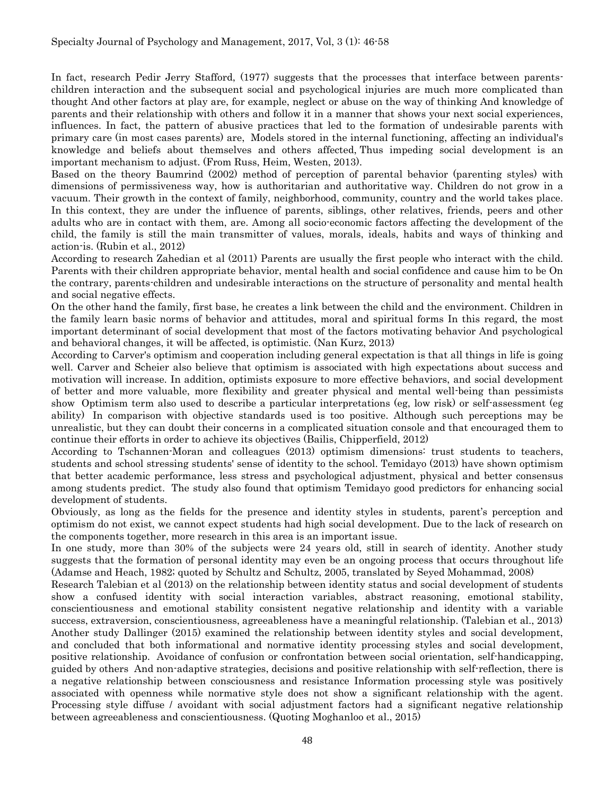In fact, research Pedir Jerry Stafford, (1977) suggests that the processes that interface between parentschildren interaction and the subsequent social and psychological injuries are much more complicated than thought And other factors at play are, for example, neglect or abuse on the way of thinking And knowledge of parents and their relationship with others and follow it in a manner that shows your next social experiences, influences. In fact, the pattern of abusive practices that led to the formation of undesirable parents with primary care (in most cases parents) are, Models stored in the internal functioning, affecting an individual's knowledge and beliefs about themselves and others affected, Thus impeding social development is an important mechanism to adjust. (From Russ, Heim, Westen, 2013).

Based on the theory Baumrind (2002) method of perception of parental behavior (parenting styles) with dimensions of permissiveness way, how is authoritarian and authoritative way. Children do not grow in a vacuum. Their growth in the context of family, neighborhood, community, country and the world takes place. In this context, they are under the influence of parents, siblings, other relatives, friends, peers and other adults who are in contact with them, are. Among all socio-economic factors affecting the development of the child, the family is still the main transmitter of values, morals, ideals, habits and ways of thinking and action-is. (Rubin et al., 2012)

According to research Zahedian et al (2011) Parents are usually the first people who interact with the child. Parents with their children appropriate behavior, mental health and social confidence and cause him to be On the contrary, parents-children and undesirable interactions on the structure of personality and mental health and social negative effects.

On the other hand the family, first base, he creates a link between the child and the environment. Children in the family learn basic norms of behavior and attitudes, moral and spiritual forms In this regard, the most important determinant of social development that most of the factors motivating behavior And psychological and behavioral changes, it will be affected, is optimistic. (Nan Kurz, 2013)

According to Carver's optimism and cooperation including general expectation is that all things in life is going well. Carver and Scheier also believe that optimism is associated with high expectations about success and motivation will increase. In addition, optimists exposure to more effective behaviors, and social development of better and more valuable, more flexibility and greater physical and mental well-being than pessimists show Optimism term also used to describe a particular interpretations (eg, low risk) or self-assessment (eg ability) In comparison with objective standards used is too positive. Although such perceptions may be unrealistic, but they can doubt their concerns in a complicated situation console and that encouraged them to continue their efforts in order to achieve its objectives (Bailis, Chipperfield, 2012)

According to Tschannen-Moran and colleagues (2013) optimism dimensions: trust students to teachers, students and school stressing students' sense of identity to the school. Temidayo (2013) have shown optimism that better academic performance, less stress and psychological adjustment, physical and better consensus among students predict. The study also found that optimism Temidayo good predictors for enhancing social development of students.

Obviously, as long as the fields for the presence and identity styles in students, parent's perception and optimism do not exist, we cannot expect students had high social development. Due to the lack of research on the components together, more research in this area is an important issue.

In one study, more than 30% of the subjects were 24 years old, still in search of identity. Another study suggests that the formation of personal identity may even be an ongoing process that occurs throughout life (Adamse and Heach, 1982; quoted by Schultz and Schultz, 2005, translated by Seyed Mohammad, 2008)

Research Talebian et al (2013) on the relationship between identity status and social development of students show a confused identity with social interaction variables, abstract reasoning, emotional stability, conscientiousness and emotional stability consistent negative relationship and identity with a variable success, extraversion, conscientiousness, agreeableness have a meaningful relationship. (Talebian et al., 2013) Another study Dallinger (2015) examined the relationship between identity styles and social development, and concluded that both informational and normative identity processing styles and social development, positive relationship. Avoidance of confusion or confrontation between social orientation, self-handicapping, guided by others And non-adaptive strategies, decisions and positive relationship with self-reflection, there is a negative relationship between consciousness and resistance Information processing style was positively associated with openness while normative style does not show a significant relationship with the agent. Processing style diffuse / avoidant with social adjustment factors had a significant negative relationship between agreeableness and conscientiousness. (Quoting Moghanloo et al., 2015)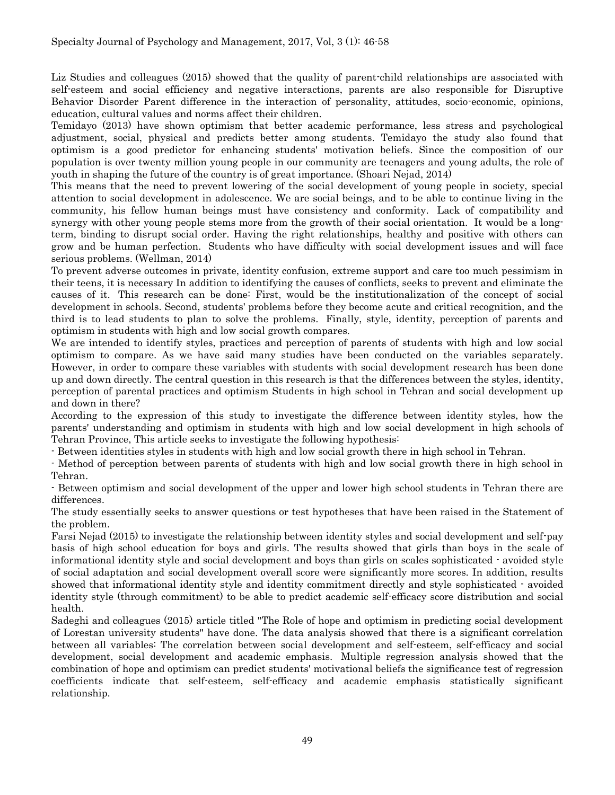Liz Studies and colleagues (2015) showed that the quality of parent-child relationships are associated with self-esteem and social efficiency and negative interactions, parents are also responsible for Disruptive Behavior Disorder Parent difference in the interaction of personality, attitudes, socio-economic, opinions, education, cultural values and norms affect their children.

Temidayo (2013) have shown optimism that better academic performance, less stress and psychological adjustment, social, physical and predicts better among students. Temidayo the study also found that optimism is a good predictor for enhancing students' motivation beliefs. Since the composition of our population is over twenty million young people in our community are teenagers and young adults, the role of youth in shaping the future of the country is of great importance. (Shoari Nejad, 2014)

This means that the need to prevent lowering of the social development of young people in society, special attention to social development in adolescence. We are social beings, and to be able to continue living in the community, his fellow human beings must have consistency and conformity. Lack of compatibility and synergy with other young people stems more from the growth of their social orientation. It would be a longterm, binding to disrupt social order. Having the right relationships, healthy and positive with others can grow and be human perfection. Students who have difficulty with social development issues and will face serious problems. (Wellman, 2014)

To prevent adverse outcomes in private, identity confusion, extreme support and care too much pessimism in their teens, it is necessary In addition to identifying the causes of conflicts, seeks to prevent and eliminate the causes of it. This research can be done: First, would be the institutionalization of the concept of social development in schools. Second, students' problems before they become acute and critical recognition, and the third is to lead students to plan to solve the problems. Finally, style, identity, perception of parents and optimism in students with high and low social growth compares.

We are intended to identify styles, practices and perception of parents of students with high and low social optimism to compare. As we have said many studies have been conducted on the variables separately. However, in order to compare these variables with students with social development research has been done up and down directly. The central question in this research is that the differences between the styles, identity, perception of parental practices and optimism Students in high school in Tehran and social development up and down in there?

According to the expression of this study to investigate the difference between identity styles, how the parents' understanding and optimism in students with high and low social development in high schools of Tehran Province, This article seeks to investigate the following hypothesis:

- Between identities styles in students with high and low social growth there in high school in Tehran.

- Method of perception between parents of students with high and low social growth there in high school in Tehran.

- Between optimism and social development of the upper and lower high school students in Tehran there are differences.

The study essentially seeks to answer questions or test hypotheses that have been raised in the Statement of the problem.

Farsi Nejad (2015) to investigate the relationship between identity styles and social development and self-pay basis of high school education for boys and girls. The results showed that girls than boys in the scale of informational identity style and social development and boys than girls on scales sophisticated - avoided style of social adaptation and social development overall score were significantly more scores. In addition, results showed that informational identity style and identity commitment directly and style sophisticated - avoided identity style (through commitment) to be able to predict academic self-efficacy score distribution and social health.

Sadeghi and colleagues (2015) article titled "The Role of hope and optimism in predicting social development of Lorestan university students" have done. The data analysis showed that there is a significant correlation between all variables: The correlation between social development and self-esteem, self-efficacy and social development, social development and academic emphasis. Multiple regression analysis showed that the combination of hope and optimism can predict students' motivational beliefs the significance test of regression coefficients indicate that self-esteem, self-efficacy and academic emphasis statistically significant relationship.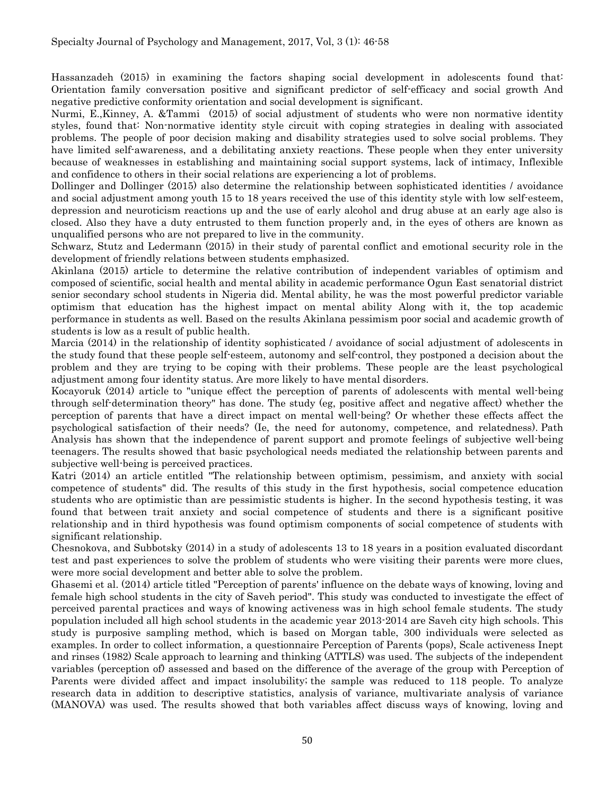Hassanzadeh (2015) in examining the factors shaping social development in adolescents found that: Orientation family conversation positive and significant predictor of self-efficacy and social growth And negative predictive conformity orientation and social development is significant.

Nurmi, E.,Kinney, A. &Tammi (2015) of social adjustment of students who were non normative identity styles, found that: Non-normative identity style circuit with coping strategies in dealing with associated problems. The people of poor decision making and disability strategies used to solve social problems. They have limited self-awareness, and a debilitating anxiety reactions. These people when they enter university because of weaknesses in establishing and maintaining social support systems, lack of intimacy, Inflexible and confidence to others in their social relations are experiencing a lot of problems.

Dollinger and Dollinger (2015) also determine the relationship between sophisticated identities / avoidance and social adjustment among youth 15 to 18 years received the use of this identity style with low self-esteem, depression and neuroticism reactions up and the use of early alcohol and drug abuse at an early age also is closed. Also they have a duty entrusted to them function properly and, in the eyes of others are known as unqualified persons who are not prepared to live in the community.

Schwarz, Stutz and Ledermann (2015) in their study of parental conflict and emotional security role in the development of friendly relations between students emphasized.

Akinlana (2015) article to determine the relative contribution of independent variables of optimism and composed of scientific, social health and mental ability in academic performance Ogun East senatorial district senior secondary school students in Nigeria did. Mental ability, he was the most powerful predictor variable optimism that education has the highest impact on mental ability Along with it, the top academic performance in students as well. Based on the results Akinlana pessimism poor social and academic growth of students is low as a result of public health.

Marcia (2014) in the relationship of identity sophisticated / avoidance of social adjustment of adolescents in the study found that these people self-esteem, autonomy and self-control, they postponed a decision about the problem and they are trying to be coping with their problems. These people are the least psychological adjustment among four identity status. Are more likely to have mental disorders.

Kocayoruk (2014) article to "unique effect the perception of parents of adolescents with mental well-being through self-determination theory" has done. The study (eg, positive affect and negative affect) whether the perception of parents that have a direct impact on mental well-being? Or whether these effects affect the psychological satisfaction of their needs? (Ie, the need for autonomy, competence, and relatedness). Path Analysis has shown that the independence of parent support and promote feelings of subjective well-being teenagers. The results showed that basic psychological needs mediated the relationship between parents and subjective well-being is perceived practices.

Katri (2014) an article entitled "The relationship between optimism, pessimism, and anxiety with social competence of students" did. The results of this study in the first hypothesis, social competence education students who are optimistic than are pessimistic students is higher. In the second hypothesis testing, it was found that between trait anxiety and social competence of students and there is a significant positive relationship and in third hypothesis was found optimism components of social competence of students with significant relationship.

Chesnokova, and Subbotsky (2014) in a study of adolescents 13 to 18 years in a position evaluated discordant test and past experiences to solve the problem of students who were visiting their parents were more clues, were more social development and better able to solve the problem.

Ghasemi et al. (2014) article titled "Perception of parents' influence on the debate ways of knowing, loving and female high school students in the city of Saveh period". This study was conducted to investigate the effect of perceived parental practices and ways of knowing activeness was in high school female students. The study population included all high school students in the academic year 2013-2014 are Saveh city high schools. This study is purposive sampling method, which is based on Morgan table, 300 individuals were selected as examples. In order to collect information, a questionnaire Perception of Parents (pops), Scale activeness Inept and rinses (1982) Scale approach to learning and thinking (ATTLS) was used. The subjects of the independent variables (perception of) assessed and based on the difference of the average of the group with Perception of Parents were divided affect and impact insolubility; the sample was reduced to 118 people. To analyze research data in addition to descriptive statistics, analysis of variance, multivariate analysis of variance (MANOVA) was used. The results showed that both variables affect discuss ways of knowing, loving and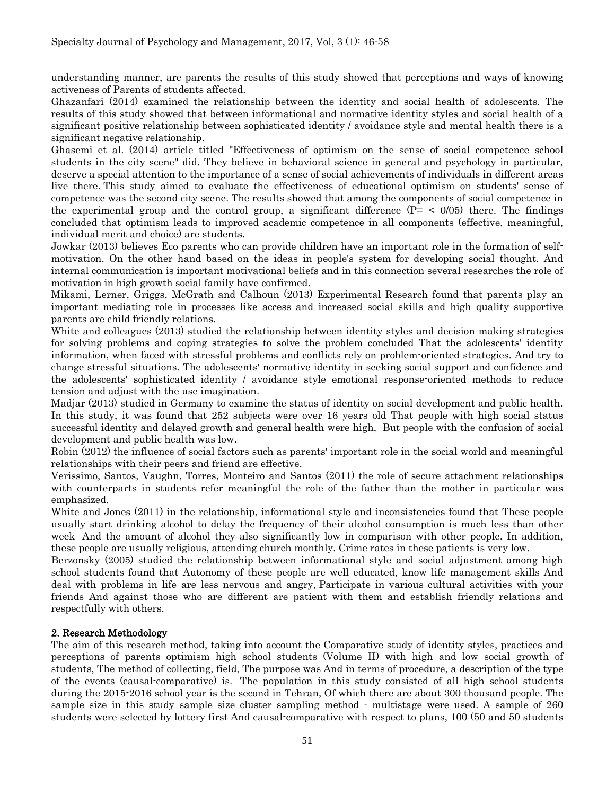understanding manner, are parents the results of this study showed that perceptions and ways of knowing activeness of Parents of students affected.

Ghazanfari (2014) examined the relationship between the identity and social health of adolescents. The results of this study showed that between informational and normative identity styles and social health of a significant positive relationship between sophisticated identity / avoidance style and mental health there is a significant negative relationship.

Ghasemi et al. (2014) article titled "Effectiveness of optimism on the sense of social competence school students in the city scene" did. They believe in behavioral science in general and psychology in particular, deserve a special attention to the importance of a sense of social achievements of individuals in different areas live there. This study aimed to evaluate the effectiveness of educational optimism on students' sense of competence was the second city scene. The results showed that among the components of social competence in the experimental group and the control group, a significant difference  $(P = \langle 0/05 \rangle)$  there. The findings concluded that optimism leads to improved academic competence in all components (effective, meaningful, individual merit and choice) are students.

Jowkar (2013) believes Eco parents who can provide children have an important role in the formation of selfmotivation. On the other hand based on the ideas in people's system for developing social thought. And internal communication is important motivational beliefs and in this connection several researches the role of motivation in high growth social family have confirmed.

Mikami, Lerner, Griggs, McGrath and Calhoun (2013) Experimental Research found that parents play an important mediating role in processes like access and increased social skills and high quality supportive parents are child friendly relations.

White and colleagues (2013) studied the relationship between identity styles and decision making strategies for solving problems and coping strategies to solve the problem concluded That the adolescents' identity information, when faced with stressful problems and conflicts rely on problem-oriented strategies. And try to change stressful situations. The adolescents' normative identity in seeking social support and confidence and the adolescents' sophisticated identity / avoidance style emotional response-oriented methods to reduce tension and adjust with the use imagination.

Madjar (2013) studied in Germany to examine the status of identity on social development and public health. In this study, it was found that 252 subjects were over 16 years old That people with high social status successful identity and delayed growth and general health were high, But people with the confusion of social development and public health was low.

Robin (2012) the influence of social factors such as parents' important role in the social world and meaningful relationships with their peers and friend are effective.

Verissimo, Santos, Vaughn, Torres, Monteiro and Santos (2011) the role of secure attachment relationships with counterparts in students refer meaningful the role of the father than the mother in particular was emphasized.

White and Jones (2011) in the relationship, informational style and inconsistencies found that These people usually start drinking alcohol to delay the frequency of their alcohol consumption is much less than other week And the amount of alcohol they also significantly low in comparison with other people. In addition, these people are usually religious, attending church monthly. Crime rates in these patients is very low.

Berzonsky (2005) studied the relationship between informational style and social adjustment among high school students found that Autonomy of these people are well educated, know life management skills And deal with problems in life are less nervous and angry, Participate in various cultural activities with your friends And against those who are different are patient with them and establish friendly relations and respectfully with others.

## 2. Research Methodology

The aim of this research method, taking into account the Comparative study of identity styles, practices and perceptions of parents optimism high school students (Volume II) with high and low social growth of students, The method of collecting, field, The purpose was And in terms of procedure, a description of the type of the events (causal-comparative) is. The population in this study consisted of all high school students during the 2015-2016 school year is the second in Tehran, Of which there are about 300 thousand people. The sample size in this study sample size cluster sampling method - multistage were used. A sample of 260 students were selected by lottery first And causal-comparative with respect to plans, 100 (50 and 50 students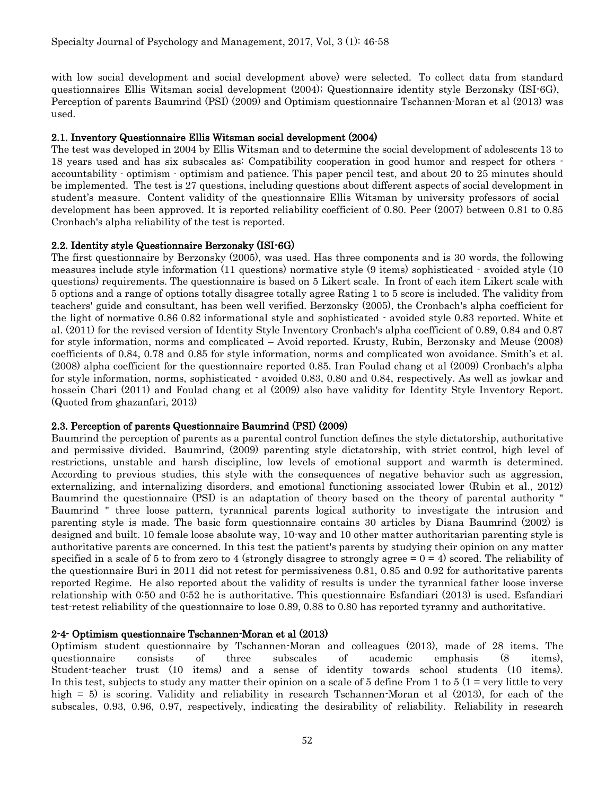with low social development and social development above) were selected. To collect data from standard questionnaires Ellis Witsman social development (2004); Questionnaire identity style Berzonsky (ISI-6G), Perception of parents Baumrind (PSI) (2009) and Optimism questionnaire Tschannen-Moran et al (2013) was used.

## 2.1. Inventory Questionnaire Ellis Witsman social development (2004)

The test was developed in 2004 by Ellis Witsman and to determine the social development of adolescents 13 to 18 years used and has six subscales as: Compatibility cooperation in good humor and respect for others accountability - optimism - optimism and patience. This paper pencil test, and about 20 to 25 minutes should be implemented. The test is 27 questions, including questions about different aspects of social development in student's measure. Content validity of the questionnaire Ellis Witsman by university professors of social development has been approved. It is reported reliability coefficient of 0.80. Peer (2007) between 0.81 to 0.85 Cronbach's alpha reliability of the test is reported.

## 2.2. Identity style Questionnaire Berzonsky (ISI-6G)

The first questionnaire by Berzonsky (2005), was used. Has three components and is 30 words, the following measures include style information (11 questions) normative style (9 items) sophisticated - avoided style (10 questions) requirements. The questionnaire is based on 5 Likert scale. In front of each item Likert scale with 5 options and a range of options totally disagree totally agree Rating 1 to 5 score is included. The validity from teachers' guide and consultant, has been well verified. Berzonsky (2005), the Cronbach's alpha coefficient for the light of normative 0.86 0.82 informational style and sophisticated - avoided style 0.83 reported. White et al. (2011) for the revised version of Identity Style Inventory Cronbach's alpha coefficient of 0.89, 0.84 and 0.87 for style information, norms and complicated – Avoid reported. Krusty, Rubin, Berzonsky and Meuse (2008) coefficients of 0.84, 0.78 and 0.85 for style information, norms and complicated won avoidance. Smith's et al. (2008) alpha coefficient for the questionnaire reported 0.85. Iran Foulad chang et al (2009) Cronbach's alpha for style information, norms, sophisticated - avoided 0.83, 0.80 and 0.84, respectively. As well as jowkar and hossein Chari (2011) and Foulad chang et al (2009) also have validity for Identity Style Inventory Report. (Quoted from ghazanfari, 2013)

## 2.3. Perception of parents Questionnaire Baumrind (PSI) (2009)

Baumrind the perception of parents as a parental control function defines the style dictatorship, authoritative and permissive divided. Baumrind, (2009) parenting style dictatorship, with strict control, high level of restrictions, unstable and harsh discipline, low levels of emotional support and warmth is determined. According to previous studies, this style with the consequences of negative behavior such as aggression, externalizing, and internalizing disorders, and emotional functioning associated lower (Rubin et al., 2012) Baumrind the questionnaire (PSI) is an adaptation of theory based on the theory of parental authority " Baumrind " three loose pattern, tyrannical parents logical authority to investigate the intrusion and parenting style is made. The basic form questionnaire contains 30 articles by Diana Baumrind (2002) is designed and built. 10 female loose absolute way, 10-way and 10 other matter authoritarian parenting style is authoritative parents are concerned. In this test the patient's parents by studying their opinion on any matter specified in a scale of 5 to from zero to 4 (strongly disagree to strongly agree  $= 0 = 4$ ) scored. The reliability of the questionnaire Buri in 2011 did not retest for permissiveness 0.81, 0.85 and 0.92 for authoritative parents reported Regime. He also reported about the validity of results is under the tyrannical father loose inverse relationship with 0:50 and 0:52 he is authoritative. This questionnaire Esfandiari (2013) is used. Esfandiari test-retest reliability of the questionnaire to lose 0.89, 0.88 to 0.80 has reported tyranny and authoritative.

## 2-4- Optimism questionnaire Tschannen-Moran et al (2013)

Optimism student questionnaire by Tschannen-Moran and colleagues (2013), made of 28 items. The questionnaire consists of three subscales of academic emphasis (8 items), Student-teacher trust (10 items) and a sense of identity towards school students (10 items). In this test, subjects to study any matter their opinion on a scale of 5 define From 1 to 5 (1 = very little to very high = 5) is scoring. Validity and reliability in research Tschannen-Moran et al (2013), for each of the subscales, 0.93, 0.96, 0.97, respectively, indicating the desirability of reliability. Reliability in research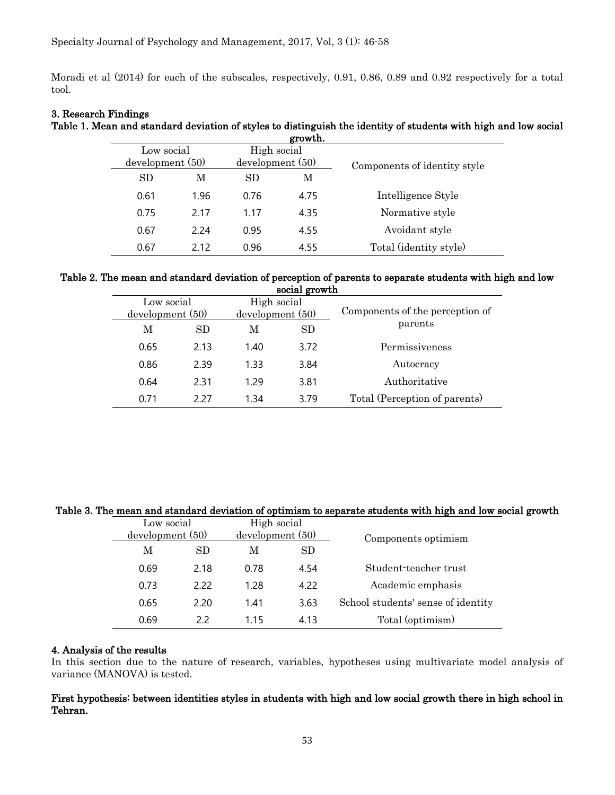Moradi et al (2014) for each of the subscales, respectively, 0.91, 0.86, 0.89 and 0.92 respectively for a total tool.

## 3. Research Findings

#### Table 1. Mean and standard deviation of styles to distinguish the identity of students with high and low social growth.

| Low social<br>development(50) |      | High social<br>development(50) |      | Components of identity style |  |
|-------------------------------|------|--------------------------------|------|------------------------------|--|
| SD.<br>М                      |      | М<br>SD                        |      |                              |  |
| 0.61                          | 1.96 | 0.76                           | 4.75 | Intelligence Style           |  |
| 0.75                          | 2.17 | 1.17                           | 4.35 | Normative style              |  |
| 0.67                          | 2.24 | 0.95                           | 4.55 | Avoidant style               |  |
| 0.67                          | 2.12 | 0.96                           | 4.55 | Total (identity style)       |  |

#### Table 2. The mean and standard deviation of perception of parents to separate students with high and low social growth

|          | <b>SUCTAL ETAM ATT</b> |                 |           |                                 |  |  |  |  |
|----------|------------------------|-----------------|-----------|---------------------------------|--|--|--|--|
|          | Low social             | High social     |           |                                 |  |  |  |  |
|          | development(50)        | development(50) |           | Components of the perception of |  |  |  |  |
| SD.<br>M |                        | М               | <b>SD</b> | parents                         |  |  |  |  |
| 0.65     | 2.13                   | 1.40            | 3.72      | Permissiveness                  |  |  |  |  |
| 0.86     | 2.39                   | 1.33            | 3.84      | Autocracy                       |  |  |  |  |
| 0.64     | 2.31                   | 1.29            | 3.81      | Authoritative                   |  |  |  |  |
| 0.71     | 2.27                   | 1.34            | 3.79      | Total (Perception of parents)   |  |  |  |  |

## Table 3. The mean and standard deviation of optimism to separate students with high and low social growth

| Low social<br>development(50) |      | High social<br>development (50) |           | Components optimism                |  |
|-------------------------------|------|---------------------------------|-----------|------------------------------------|--|
| SD.<br>М                      |      | M                               | <b>SD</b> |                                    |  |
| 0.69                          | 2.18 | 0.78                            | 4.54      | Student-teacher trust              |  |
| 0.73                          | 2.22 | 1.28                            | 4.22      | Academic emphasis                  |  |
| 0.65                          | 2.20 | 1.41                            | 3.63      | School students' sense of identity |  |
| 0.69                          | 2.2  | 1.15                            | 4.13      | Total (optimism)                   |  |

## 4. Analysis of the results

In this section due to the nature of research, variables, hypotheses using multivariate model analysis of variance (MANOVA) is tested.

## First hypothesis: between identities styles in students with high and low social growth there in high school in Tehran.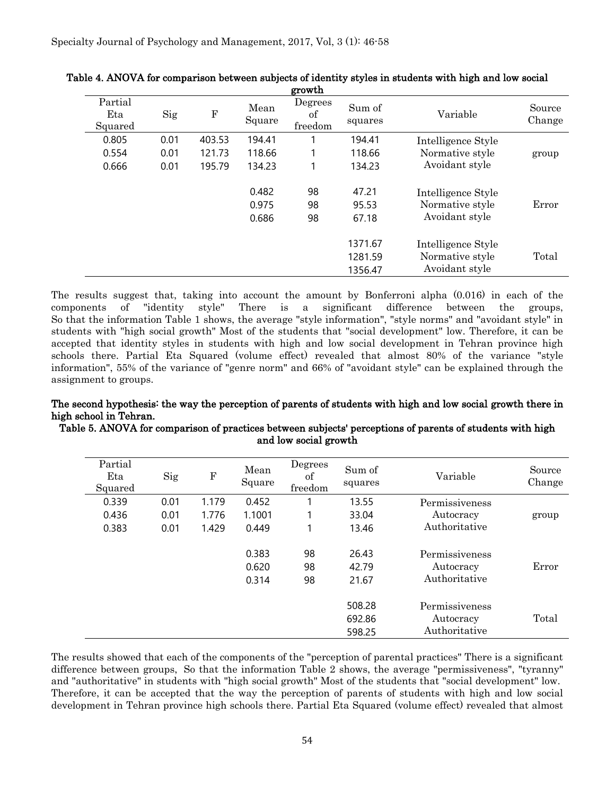| growth                    |      |           |                         |                          |                               |                                                         |                  |  |
|---------------------------|------|-----------|-------------------------|--------------------------|-------------------------------|---------------------------------------------------------|------------------|--|
| Partial<br>Eta<br>Squared | Sig  | ${\bf F}$ | Mean<br>Square          | Degrees<br>οf<br>freedom | Sum of<br>squares             | Variable                                                | Source<br>Change |  |
| 0.805                     | 0.01 | 403.53    | 194.41                  |                          | 194.41                        | Intelligence Style                                      |                  |  |
| 0.554                     | 0.01 | 121.73    | 118.66                  |                          | 118.66                        | Normative style                                         | group            |  |
| 0.666                     | 0.01 | 195.79    | 134.23                  |                          | 134.23                        | Avoidant style                                          |                  |  |
|                           |      |           | 0.482<br>0.975<br>0.686 | 98<br>98<br>98           | 47.21<br>95.53<br>67.18       | Intelligence Style<br>Normative style<br>Avoidant style | Error            |  |
|                           |      |           |                         |                          | 1371.67<br>1281.59<br>1356.47 | Intelligence Style<br>Normative style<br>Avoidant style | Total            |  |

| Table 4. ANOVA for comparison between subjects of identity styles in students with high and low social |  |
|--------------------------------------------------------------------------------------------------------|--|
|                                                                                                        |  |

The results suggest that, taking into account the amount by Bonferroni alpha (0.016) in each of the components of "identity style" There is a significant difference between the groups, So that the information Table 1 shows, the average "style information", "style norms" and "avoidant style" in students with "high social growth" Most of the students that "social development" low. Therefore, it can be accepted that identity styles in students with high and low social development in Tehran province high schools there. Partial Eta Squared (volume effect) revealed that almost 80% of the variance "style information", 55% of the variance of "genre norm" and 66% of "avoidant style" can be explained through the assignment to groups.

## The second hypothesis: the way the perception of parents of students with high and low social growth there in high school in Tehran.

Table 5. ANOVA for comparison of practices between subjects' perceptions of parents of students with high and low social growth

| Partial<br>Eta<br>Squared | Sig  | $\mathbf F$ | Mean<br>Square          | Degrees<br>οf<br>freedom | Sum of<br>squares          | Variable                                     | Source<br>Change |
|---------------------------|------|-------------|-------------------------|--------------------------|----------------------------|----------------------------------------------|------------------|
| 0.339                     | 0.01 | 1.179       | 0.452                   |                          | 13.55                      | Permissiveness                               |                  |
| 0.436                     | 0.01 | 1.776       | 1.1001                  |                          | 33.04                      | Autocracy                                    | group            |
| 0.383                     | 0.01 | 1.429       | 0.449                   |                          | 13.46                      | Authoritative                                |                  |
|                           |      |             | 0.383<br>0.620<br>0.314 | 98<br>98<br>98           | 26.43<br>42.79<br>21.67    | Permissiveness<br>Autocracy<br>Authoritative | Error            |
|                           |      |             |                         |                          | 508.28<br>692.86<br>598.25 | Permissiveness<br>Autocracy<br>Authoritative | Total            |

The results showed that each of the components of the "perception of parental practices" There is a significant difference between groups, So that the information Table 2 shows, the average "permissiveness", "tyranny" and "authoritative" in students with "high social growth" Most of the students that "social development" low. Therefore, it can be accepted that the way the perception of parents of students with high and low social development in Tehran province high schools there. Partial Eta Squared (volume effect) revealed that almost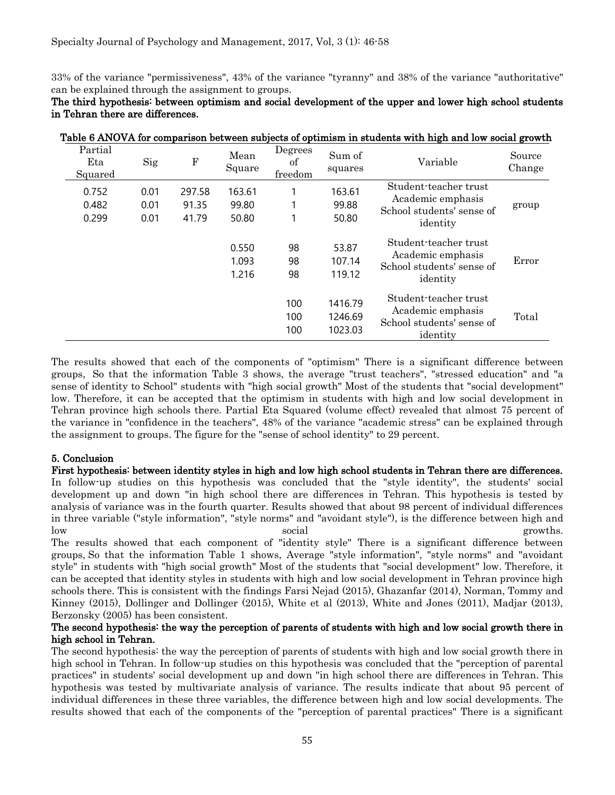33% of the variance "permissiveness", 43% of the variance "tyranny" and 38% of the variance "authoritative" can be explained through the assignment to groups.

|                           |                      |                          |                          |                          |                               | Table 6 ANOVA for comparison between subjects of optimism in students with high and low social growth |                  |
|---------------------------|----------------------|--------------------------|--------------------------|--------------------------|-------------------------------|-------------------------------------------------------------------------------------------------------|------------------|
| Partial<br>Eta<br>Squared | Sig                  | ${\bf F}$                | Mean<br>Square           | Degrees<br>of<br>freedom | Sum of<br>squares             | Variable                                                                                              | Source<br>Change |
| 0.752<br>0.482<br>0.299   | 0.01<br>0.01<br>0.01 | 297.58<br>91.35<br>41.79 | 163.61<br>99.80<br>50.80 |                          | 163.61<br>99.88<br>50.80      | Student-teacher trust<br>Academic emphasis<br>School students' sense of<br>identity                   | group            |
|                           |                      |                          | 0.550<br>1.093<br>1.216  | 98<br>98<br>98           | 53.87<br>107.14<br>119.12     | Student-teacher trust<br>Academic emphasis<br>School students' sense of<br>identity                   | Error            |
|                           |                      |                          |                          | 100<br>100<br>100        | 1416.79<br>1246.69<br>1023.03 | Student-teacher trust<br>Academic emphasis<br>School students' sense of<br>identity                   | Total            |

## The third hypothesis: between optimism and social development of the upper and lower high school students in Tehran there are differences.

The results showed that each of the components of "optimism" There is a significant difference between groups, So that the information Table 3 shows, the average "trust teachers", "stressed education" and "a sense of identity to School" students with "high social growth" Most of the students that "social development" low. Therefore, it can be accepted that the optimism in students with high and low social development in Tehran province high schools there. Partial Eta Squared (volume effect) revealed that almost 75 percent of the variance in "confidence in the teachers", 48% of the variance "academic stress" can be explained through the assignment to groups. The figure for the "sense of school identity" to 29 percent.

## 5. Conclusion

First hypothesis: between identity styles in high and low high school students in Tehran there are differences. In follow-up studies on this hypothesis was concluded that the "style identity", the students' social development up and down "in high school there are differences in Tehran. This hypothesis is tested by analysis of variance was in the fourth quarter. Results showed that about 98 percent of individual differences in three variable ("style information", "style norms" and "avoidant style"), is the difference between high and low social growths.

The results showed that each component of "identity style" There is a significant difference between groups, So that the information Table 1 shows, Average "style information", "style norms" and "avoidant style" in students with "high social growth" Most of the students that "social development" low. Therefore, it can be accepted that identity styles in students with high and low social development in Tehran province high schools there. This is consistent with the findings Farsi Nejad (2015), Ghazanfar (2014), Norman, Tommy and Kinney (2015), Dollinger and Dollinger (2015), White et al (2013), White and Jones (2011), Madjar (2013), Berzonsky (2005) has been consistent.

## The second hypothesis: the way the perception of parents of students with high and low social growth there in high school in Tehran.

The second hypothesis: the way the perception of parents of students with high and low social growth there in high school in Tehran. In follow-up studies on this hypothesis was concluded that the "perception of parental practices" in students' social development up and down "in high school there are differences in Tehran. This hypothesis was tested by multivariate analysis of variance. The results indicate that about 95 percent of individual differences in these three variables, the difference between high and low social developments. The results showed that each of the components of the "perception of parental practices" There is a significant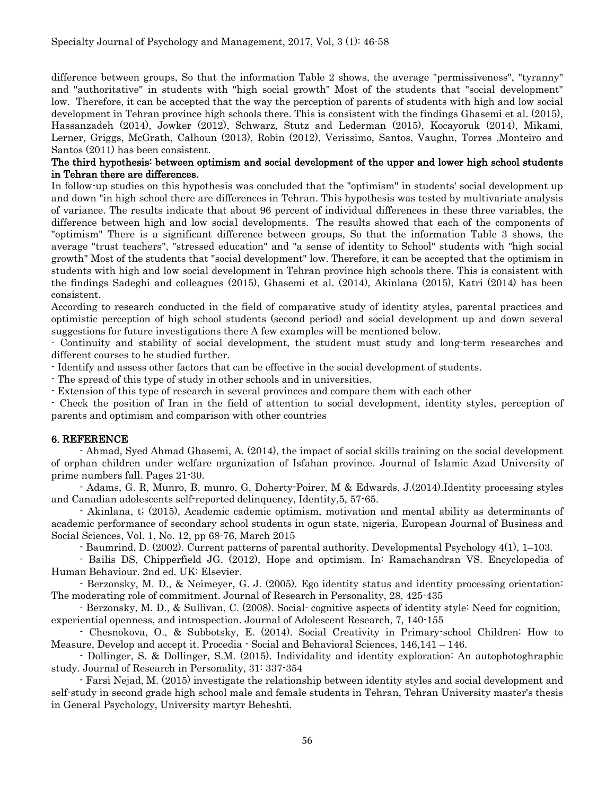difference between groups, So that the information Table 2 shows, the average "permissiveness", "tyranny" and "authoritative" in students with "high social growth" Most of the students that "social development" low. Therefore, it can be accepted that the way the perception of parents of students with high and low social development in Tehran province high schools there. This is consistent with the findings Ghasemi et al. (2015), Hassanzadeh (2014), Jowker (2012), Schwarz, Stutz and Lederman (2015), Kocayoruk (2014), Mikami, Lerner, Griggs, McGrath, Calhoun (2013), Robin (2012), Verissimo, Santos, Vaughn, Torres ,Monteiro and Santos (2011) has been consistent.

## The third hypothesis: between optimism and social development of the upper and lower high school students in Tehran there are differences.

In follow-up studies on this hypothesis was concluded that the "optimism" in students' social development up and down "in high school there are differences in Tehran. This hypothesis was tested by multivariate analysis of variance. The results indicate that about 96 percent of individual differences in these three variables, the difference between high and low social developments. The results showed that each of the components of "optimism" There is a significant difference between groups, So that the information Table 3 shows, the average "trust teachers", "stressed education" and "a sense of identity to School" students with "high social growth" Most of the students that "social development" low. Therefore, it can be accepted that the optimism in students with high and low social development in Tehran province high schools there. This is consistent with the findings Sadeghi and colleagues (2015), Ghasemi et al. (2014), Akinlana (2015), Katri (2014) has been consistent.

According to research conducted in the field of comparative study of identity styles, parental practices and optimistic perception of high school students (second period) and social development up and down several suggestions for future investigations there A few examples will be mentioned below.

- Continuity and stability of social development, the student must study and long-term researches and different courses to be studied further.

- Identify and assess other factors that can be effective in the social development of students.

- The spread of this type of study in other schools and in universities.

- Extension of this type of research in several provinces and compare them with each other

- Check the position of Iran in the field of attention to social development, identity styles, perception of parents and optimism and comparison with other countries

## 6. REFERENCE

- Ahmad, Syed Ahmad Ghasemi, A. (2014), the impact of social skills training on the social development of orphan children under welfare organization of Isfahan province. Journal of Islamic Azad University of prime numbers fall. Pages 21-30.

- Adams, G. R, Munro, B, munro, G, Doherty-Poirer, M & Edwards, J.(2014).Identity processing styles and Canadian adolescents self-reported delinquency, Identity,5, 57-65.

- Akinlana, t; (2015), Academic cademic optimism, motivation and mental ability as determinants of academic performance of secondary school students in ogun state, nigeria, European Journal of Business and Social Sciences, Vol. 1, No. 12, pp 68-76, March 2015

- Baumrind, D. (2002). Current patterns of parental authority. Developmental Psychology 4(1), 1–103.

- Bailis DS, Chipperfield JG. (2012), Hope and optimism. In: Ramachandran VS. Encyclopedia of Human Behaviour. 2nd ed. UK: Elsevier.

- Berzonsky, M. D., & Neimeyer, G. J. (2005). Ego identity status and identity processing orientation: The moderating role of commitment. Journal of Research in Personality, 28, 425-435

- Berzonsky, M. D., & Sullivan, C. (2008). Social- cognitive aspects of identity style: Need for cognition, experiential openness, and introspection. Journal of Adolescent Research, 7, 140-155

- Chesnokova, O., & Subbotsky, E. (2014). Social Creativity in Primary-school Children: How to Measure, Develop and accept it. Procedia - Social and Behavioral Sciences, 146,141 – 146.

- Dollinger, S. & Dollinger, S.M. (2015). Individality and identity exploration: An autophotoghraphic study. Journal of Research in Personality, 31: 337-354

- Farsi Nejad, M. (2015) investigate the relationship between identity styles and social development and self-study in second grade high school male and female students in Tehran, Tehran University master's thesis in General Psychology, University martyr Beheshti.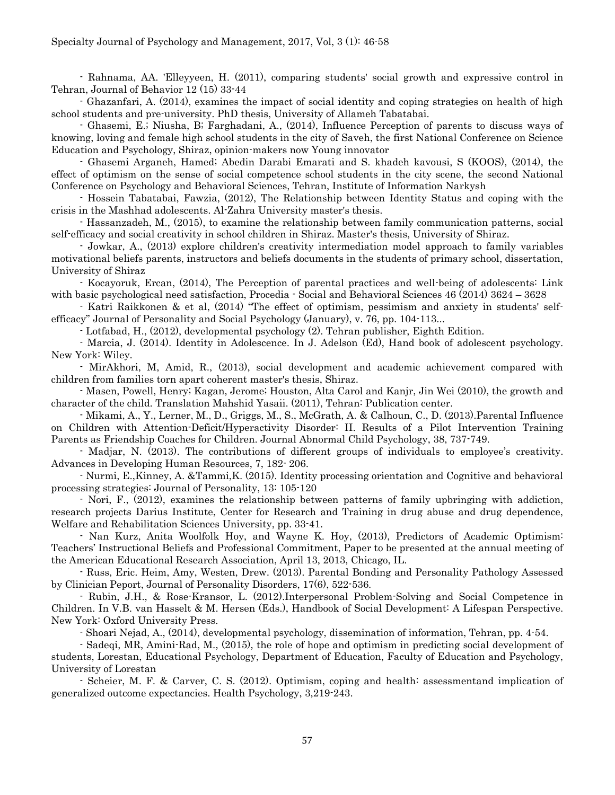- Rahnama, AA. 'Elleyyeen, H. (2011), comparing students' social growth and expressive control in Tehran, Journal of Behavior 12 (15) 33-44

- Ghazanfari, A. (2014), examines the impact of social identity and coping strategies on health of high school students and pre-university. PhD thesis, University of Allameh Tabatabai.

- Ghasemi, E.; Niusha, B; Farghadani, A., (2014), Influence Perception of parents to discuss ways of knowing, loving and female high school students in the city of Saveh, the first National Conference on Science Education and Psychology, Shiraz, opinion-makers now Young innovator

- Ghasemi Arganeh, Hamed; Abedin Darabi Emarati and S. khadeh kavousi, S (KOOS), (2014), the effect of optimism on the sense of social competence school students in the city scene, the second National Conference on Psychology and Behavioral Sciences, Tehran, Institute of Information Narkysh

- Hossein Tabatabai, Fawzia, (2012), The Relationship between Identity Status and coping with the crisis in the Mashhad adolescents. Al-Zahra University master's thesis.

- Hassanzadeh, M., (2015), to examine the relationship between family communication patterns, social self-efficacy and social creativity in school children in Shiraz. Master's thesis, University of Shiraz.

- Jowkar, A., (2013) explore children's creativity intermediation model approach to family variables motivational beliefs parents, instructors and beliefs documents in the students of primary school, dissertation, University of Shiraz

- Kocayoruk, Ercan, (2014), The Perception of parental practices and well-being of adolescents: Link with basic psychological need satisfaction, Procedia - Social and Behavioral Sciences 46 (2014) 3624 – 3628

- Katri Raikkonen & et al, (2014) "The effect of optimism, pessimism and anxiety in students' selfefficacy" Journal of Personality and Social Psychology (January), v. 76, pp. 104-113...

- Lotfabad, H., (2012), developmental psychology (2). Tehran publisher, Eighth Edition.

- Marcia, J. (2014). Identity in Adolescence. In J. Adelson (Ed), Hand book of adolescent psychology. New York: Wiley.

- MirAkhori, M, Amid, R., (2013), social development and academic achievement compared with children from families torn apart coherent master's thesis, Shiraz.

- Masen, Powell, Henry; Kagan, Jerome; Houston, Alta Carol and Kanjr, Jin Wei (2010), the growth and character of the child. Translation Mahshid Yasaii. (2011), Tehran: Publication center.

- Mikami, A., Y., Lerner, M., D., Griggs, M., S., McGrath, A. & Calhoun, C., D. (2013).Parental Influence on Children with Attention-Deficit/Hyperactivity Disorder: II. Results of a Pilot Intervention Training Parents as Friendship Coaches for Children. Journal Abnormal Child Psychology, 38, 737-749.

- Madjar, N. (2013). The contributions of different groups of individuals to employee's creativity. Advances in Developing Human Resources, 7, 182- 206.

- Nurmi, E.,Kinney, A. &Tammi,K. (2015). Identity processing orientation and Cognitive and behavioral processing strategies: Journal of Personality, 13: 105-120

- Nori, F., (2012), examines the relationship between patterns of family upbringing with addiction, research projects Darius Institute, Center for Research and Training in drug abuse and drug dependence, Welfare and Rehabilitation Sciences University, pp. 33-41.

- Nan Kurz, Anita Woolfolk Hoy, and Wayne K. Hoy, (2013), Predictors of Academic Optimism: Teachers' Instructional Beliefs and Professional Commitment, Paper to be presented at the annual meeting of the American Educational Research Association, April 13, 2013, Chicago, IL.

- Russ, Eric. Heim, Amy, Westen, Drew. (2013). Parental Bonding and Personality Pathology Assessed by Clinician Peport, Journal of Personality Disorders, 17(6), 522-536.

- Rubin, J.H., & Rose-Kransor, L. (2012).Interpersonal Problem-Solving and Social Competence in Children. In V.B. van Hasselt & M. Hersen (Eds.), Handbook of Social Development: A Lifespan Perspective. New York: Oxford University Press.

- Shoari Nejad, A., (2014), developmental psychology, dissemination of information, Tehran, pp. 4-54.

- Sadeqi, MR, Amini-Rad, M., (2015), the role of hope and optimism in predicting social development of students, Lorestan, Educational Psychology, Department of Education, Faculty of Education and Psychology, University of Lorestan

- Scheier, M. F. & Carver, C. S. (2012). Optimism, coping and health: assessmentand implication of generalized outcome expectancies. Health Psychology, 3,219-243.